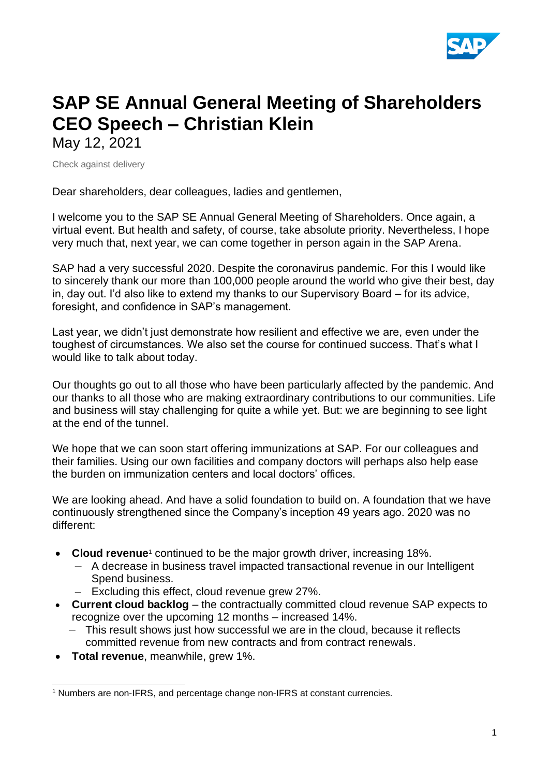

# **SAP SE Annual General Meeting of Shareholders CEO Speech – Christian Klein** May 12, 2021

Check against delivery

Dear shareholders, dear colleagues, ladies and gentlemen,

I welcome you to the SAP SE Annual General Meeting of Shareholders. Once again, a virtual event. But health and safety, of course, take absolute priority. Nevertheless, I hope very much that, next year, we can come together in person again in the SAP Arena.

SAP had a very successful 2020. Despite the coronavirus pandemic. For this I would like to sincerely thank our more than 100,000 people around the world who give their best, day in, day out. I'd also like to extend my thanks to our Supervisory Board – for its advice, foresight, and confidence in SAP's management.

Last year, we didn't just demonstrate how resilient and effective we are, even under the toughest of circumstances. We also set the course for continued success. That's what I would like to talk about today.

Our thoughts go out to all those who have been particularly affected by the pandemic. And our thanks to all those who are making extraordinary contributions to our communities. Life and business will stay challenging for quite a while yet. But: we are beginning to see light at the end of the tunnel.

We hope that we can soon start offering immunizations at SAP. For our colleagues and their families. Using our own facilities and company doctors will perhaps also help ease the burden on immunization centers and local doctors' offices.

We are looking ahead. And have a solid foundation to build on. A foundation that we have continuously strengthened since the Company's inception 49 years ago. 2020 was no different:

- Cloud revenue<sup>1</sup> continued to be the major growth driver, increasing 18%.
	- A decrease in business travel impacted transactional revenue in our Intelligent Spend business.
	- Excluding this effect, cloud revenue grew 27%.
- **Current cloud backlog** the contractually committed cloud revenue SAP expects to recognize over the upcoming 12 months – increased 14%.
	- This result shows just how successful we are in the cloud, because it reflects committed revenue from new contracts and from contract renewals.
- **Total revenue**, meanwhile, grew 1%.

<sup>1</sup> Numbers are non-IFRS, and percentage change non-IFRS at constant currencies.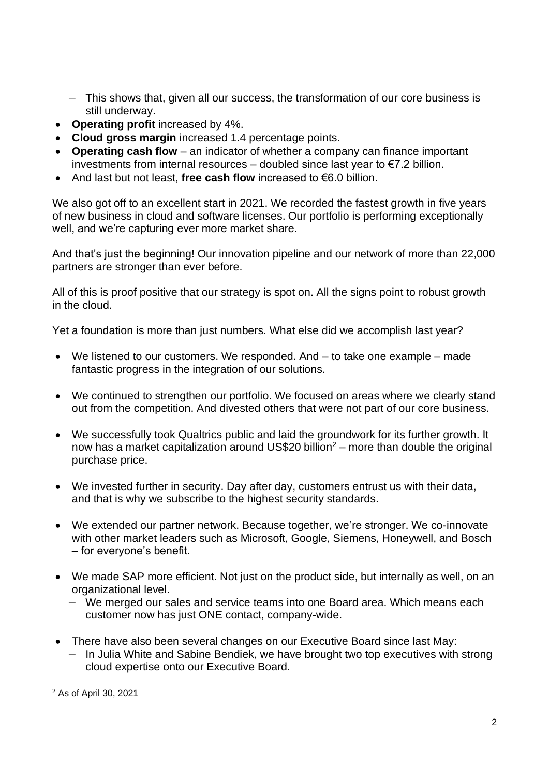- This shows that, given all our success, the transformation of our core business is still underway.
- **Operating profit** increased by 4%.
- **Cloud gross margin** increased 1.4 percentage points.
- **Operating cash flow** an indicator of whether a company can finance important investments from internal resources – doubled since last year to €7.2 billion.
- And last but not least, **free cash flow** increased to €6.0 billion.

We also got off to an excellent start in 2021. We recorded the fastest growth in five years of new business in cloud and software licenses. Our portfolio is performing exceptionally well, and we're capturing ever more market share.

And that's just the beginning! Our innovation pipeline and our network of more than 22,000 partners are stronger than ever before.

All of this is proof positive that our strategy is spot on. All the signs point to robust growth in the cloud.

Yet a foundation is more than just numbers. What else did we accomplish last year?

- We listened to our customers. We responded. And to take one example made fantastic progress in the integration of our solutions.
- We continued to strengthen our portfolio. We focused on areas where we clearly stand out from the competition. And divested others that were not part of our core business.
- We successfully took Qualtrics public and laid the groundwork for its further growth. It now has a market capitalization around US\$20 billion<sup>2</sup> – more than double the original purchase price.
- We invested further in security. Day after day, customers entrust us with their data, and that is why we subscribe to the highest security standards.
- We extended our partner network. Because together, we're stronger, We co-innovate with other market leaders such as Microsoft, Google, Siemens, Honeywell, and Bosch – for everyone's benefit.
- We made SAP more efficient. Not just on the product side, but internally as well, on an organizational level.
	- We merged our sales and service teams into one Board area. Which means each customer now has just ONE contact, company-wide.
- There have also been several changes on our Executive Board since last May:
	- In Julia White and Sabine Bendiek, we have brought two top executives with strong cloud expertise onto our Executive Board.

<sup>2</sup> As of April 30, 2021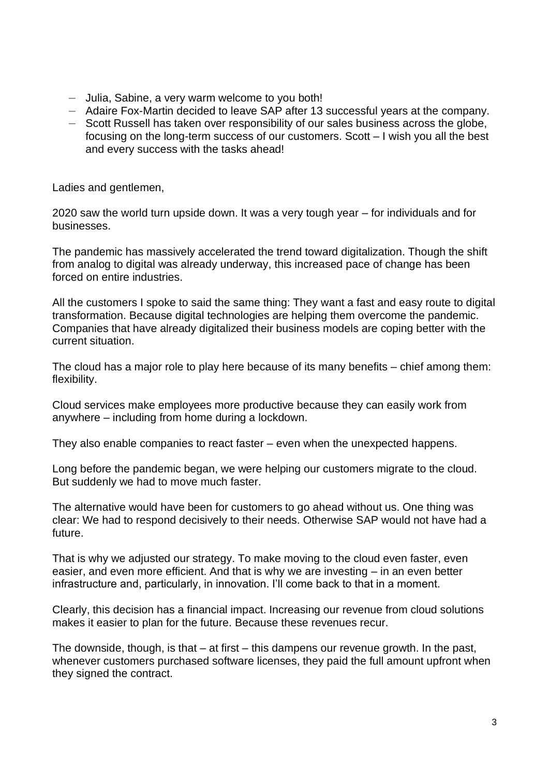- Julia, Sabine, a very warm welcome to you both!
- Adaire Fox-Martin decided to leave SAP after 13 successful years at the company.
- Scott Russell has taken over responsibility of our sales business across the globe, focusing on the long-term success of our customers. Scott – I wish you all the best and every success with the tasks ahead!

Ladies and gentlemen,

2020 saw the world turn upside down. It was a very tough year – for individuals and for businesses.

The pandemic has massively accelerated the trend toward digitalization. Though the shift from analog to digital was already underway, this increased pace of change has been forced on entire industries.

All the customers I spoke to said the same thing: They want a fast and easy route to digital transformation. Because digital technologies are helping them overcome the pandemic. Companies that have already digitalized their business models are coping better with the current situation.

The cloud has a major role to play here because of its many benefits – chief among them: flexibility.

Cloud services make employees more productive because they can easily work from anywhere – including from home during a lockdown.

They also enable companies to react faster – even when the unexpected happens.

Long before the pandemic began, we were helping our customers migrate to the cloud. But suddenly we had to move much faster.

The alternative would have been for customers to go ahead without us. One thing was clear: We had to respond decisively to their needs. Otherwise SAP would not have had a future.

That is why we adjusted our strategy. To make moving to the cloud even faster, even easier, and even more efficient. And that is why we are investing – in an even better infrastructure and, particularly, in innovation. I'll come back to that in a moment.

Clearly, this decision has a financial impact. Increasing our revenue from cloud solutions makes it easier to plan for the future. Because these revenues recur.

The downside, though, is that – at first – this dampens our revenue growth. In the past, whenever customers purchased software licenses, they paid the full amount upfront when they signed the contract.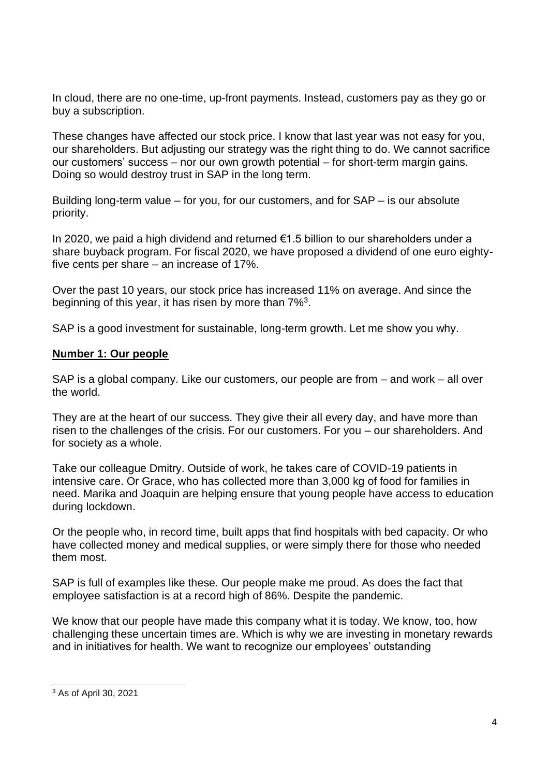In cloud, there are no one-time, up-front payments. Instead, customers pay as they go or buy a subscription.

These changes have affected our stock price. I know that last year was not easy for you, our shareholders. But adjusting our strategy was the right thing to do. We cannot sacrifice our customers' success – nor our own growth potential – for short-term margin gains. Doing so would destroy trust in SAP in the long term.

Building long-term value – for you, for our customers, and for SAP – is our absolute priority.

In 2020, we paid a high dividend and returned €1.5 billion to our shareholders under a share buyback program. For fiscal 2020, we have proposed a dividend of one euro eightyfive cents per share – an increase of 17%.

Over the past 10 years, our stock price has increased 11% on average. And since the beginning of this year, it has risen by more than 7%<sup>3</sup>.

SAP is a good investment for sustainable, long-term growth. Let me show you why.

#### **Number 1: Our people**

SAP is a global company. Like our customers, our people are from – and work – all over the world.

They are at the heart of our success. They give their all every day, and have more than risen to the challenges of the crisis. For our customers. For you – our shareholders. And for society as a whole.

Take our colleague Dmitry. Outside of work, he takes care of COVID-19 patients in intensive care. Or Grace, who has collected more than 3,000 kg of food for families in need. Marika and Joaquin are helping ensure that young people have access to education during lockdown.

Or the people who, in record time, built apps that find hospitals with bed capacity. Or who have collected money and medical supplies, or were simply there for those who needed them most.

SAP is full of examples like these. Our people make me proud. As does the fact that employee satisfaction is at a record high of 86%. Despite the pandemic.

We know that our people have made this company what it is today. We know, too, how challenging these uncertain times are. Which is why we are investing in monetary rewards and in initiatives for health. We want to recognize our employees' outstanding

<sup>3</sup> As of April 30, 2021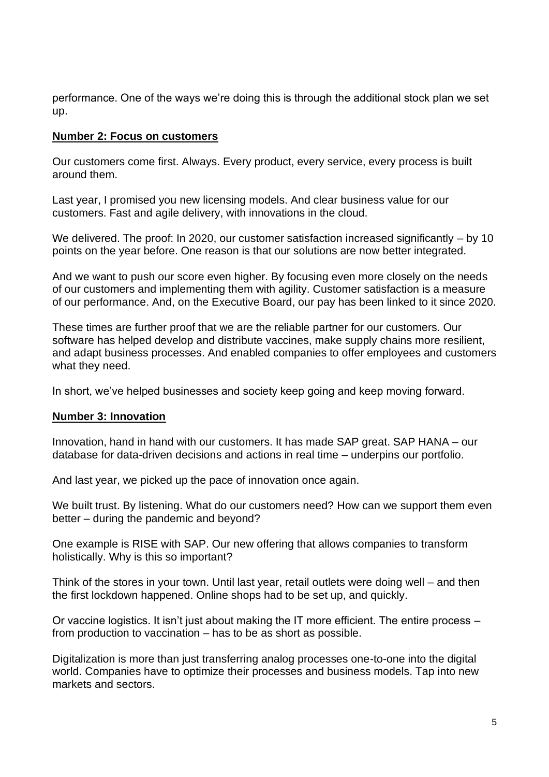performance. One of the ways we're doing this is through the additional stock plan we set up.

### **Number 2: Focus on customers**

Our customers come first. Always. Every product, every service, every process is built around them.

Last year, I promised you new licensing models. And clear business value for our customers. Fast and agile delivery, with innovations in the cloud.

We delivered. The proof: In 2020, our customer satisfaction increased significantly – by 10 points on the year before. One reason is that our solutions are now better integrated.

And we want to push our score even higher. By focusing even more closely on the needs of our customers and implementing them with agility. Customer satisfaction is a measure of our performance. And, on the Executive Board, our pay has been linked to it since 2020.

These times are further proof that we are the reliable partner for our customers. Our software has helped develop and distribute vaccines, make supply chains more resilient, and adapt business processes. And enabled companies to offer employees and customers what they need.

In short, we've helped businesses and society keep going and keep moving forward.

## **Number 3: Innovation**

Innovation, hand in hand with our customers. It has made SAP great. SAP HANA – our database for data-driven decisions and actions in real time – underpins our portfolio.

And last year, we picked up the pace of innovation once again.

We built trust. By listening. What do our customers need? How can we support them even better – during the pandemic and beyond?

One example is RISE with SAP. Our new offering that allows companies to transform holistically. Why is this so important?

Think of the stores in your town. Until last year, retail outlets were doing well – and then the first lockdown happened. Online shops had to be set up, and quickly.

Or vaccine logistics. It isn't just about making the IT more efficient. The entire process – from production to vaccination – has to be as short as possible.

Digitalization is more than just transferring analog processes one-to-one into the digital world. Companies have to optimize their processes and business models. Tap into new markets and sectors.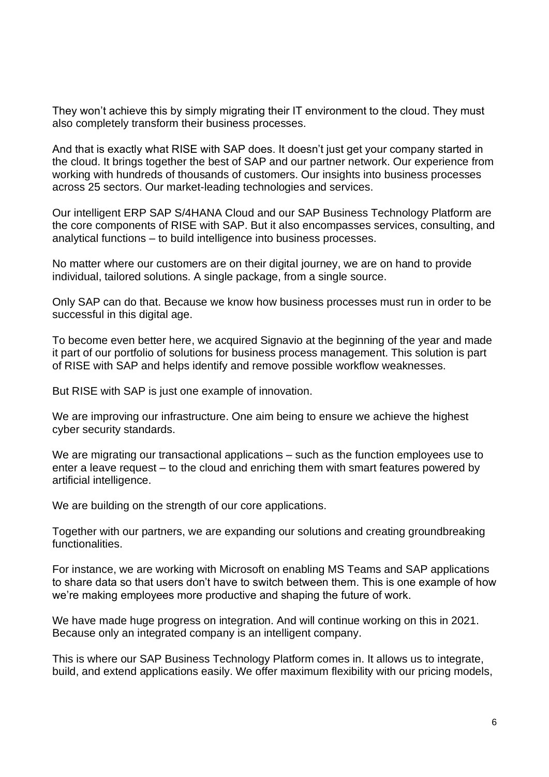They won't achieve this by simply migrating their IT environment to the cloud. They must also completely transform their business processes.

And that is exactly what RISE with SAP does. It doesn't just get your company started in the cloud. It brings together the best of SAP and our partner network. Our experience from working with hundreds of thousands of customers. Our insights into business processes across 25 sectors. Our market-leading technologies and services.

Our intelligent ERP SAP S/4HANA Cloud and our SAP Business Technology Platform are the core components of RISE with SAP. But it also encompasses services, consulting, and analytical functions – to build intelligence into business processes.

No matter where our customers are on their digital journey, we are on hand to provide individual, tailored solutions. A single package, from a single source.

Only SAP can do that. Because we know how business processes must run in order to be successful in this digital age.

To become even better here, we acquired Signavio at the beginning of the year and made it part of our portfolio of solutions for business process management. This solution is part of RISE with SAP and helps identify and remove possible workflow weaknesses.

But RISE with SAP is just one example of innovation.

We are improving our infrastructure. One aim being to ensure we achieve the highest cyber security standards.

We are migrating our transactional applications – such as the function employees use to enter a leave request – to the cloud and enriching them with smart features powered by artificial intelligence.

We are building on the strength of our core applications.

Together with our partners, we are expanding our solutions and creating groundbreaking functionalities.

For instance, we are working with Microsoft on enabling MS Teams and SAP applications to share data so that users don't have to switch between them. This is one example of how we're making employees more productive and shaping the future of work.

We have made huge progress on integration. And will continue working on this in 2021. Because only an integrated company is an intelligent company.

This is where our SAP Business Technology Platform comes in. It allows us to integrate, build, and extend applications easily. We offer maximum flexibility with our pricing models,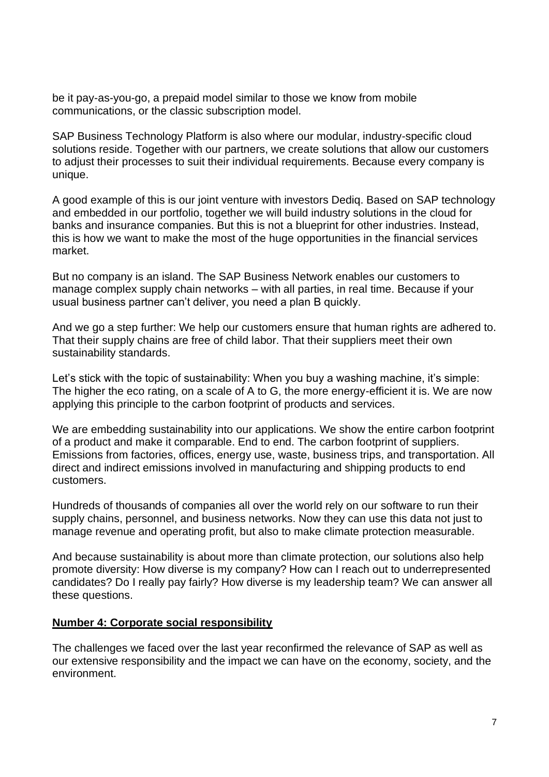be it pay-as-you-go, a prepaid model similar to those we know from mobile communications, or the classic subscription model.

SAP Business Technology Platform is also where our modular, industry-specific cloud solutions reside. Together with our partners, we create solutions that allow our customers to adjust their processes to suit their individual requirements. Because every company is unique.

A good example of this is our joint venture with investors Dediq. Based on SAP technology and embedded in our portfolio, together we will build industry solutions in the cloud for banks and insurance companies. But this is not a blueprint for other industries. Instead, this is how we want to make the most of the huge opportunities in the financial services market.

But no company is an island. The SAP Business Network enables our customers to manage complex supply chain networks – with all parties, in real time. Because if your usual business partner can't deliver, you need a plan B quickly.

And we go a step further: We help our customers ensure that human rights are adhered to. That their supply chains are free of child labor. That their suppliers meet their own sustainability standards.

Let's stick with the topic of sustainability: When you buy a washing machine, it's simple: The higher the eco rating, on a scale of A to G, the more energy-efficient it is. We are now applying this principle to the carbon footprint of products and services.

We are embedding sustainability into our applications. We show the entire carbon footprint of a product and make it comparable. End to end. The carbon footprint of suppliers. Emissions from factories, offices, energy use, waste, business trips, and transportation. All direct and indirect emissions involved in manufacturing and shipping products to end customers.

Hundreds of thousands of companies all over the world rely on our software to run their supply chains, personnel, and business networks. Now they can use this data not just to manage revenue and operating profit, but also to make climate protection measurable.

And because sustainability is about more than climate protection, our solutions also help promote diversity: How diverse is my company? How can I reach out to underrepresented candidates? Do I really pay fairly? How diverse is my leadership team? We can answer all these questions.

#### **Number 4: Corporate social responsibility**

The challenges we faced over the last year reconfirmed the relevance of SAP as well as our extensive responsibility and the impact we can have on the economy, society, and the environment.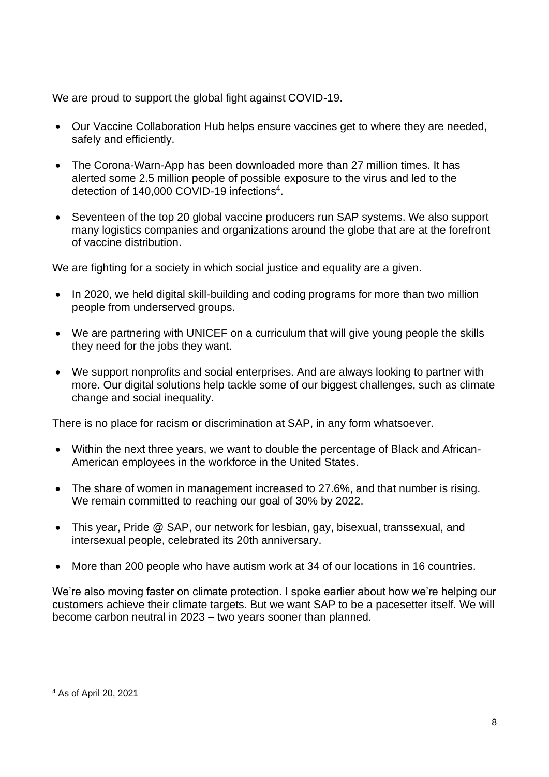We are proud to support the global fight against COVID-19.

- Our Vaccine Collaboration Hub helps ensure vaccines get to where they are needed, safely and efficiently.
- The Corona-Warn-App has been downloaded more than 27 million times. It has alerted some 2.5 million people of possible exposure to the virus and led to the detection of 140,000 COVID-19 infections<sup>4</sup>.
- Seventeen of the top 20 global vaccine producers run SAP systems. We also support many logistics companies and organizations around the globe that are at the forefront of vaccine distribution.

We are fighting for a society in which social justice and equality are a given.

- In 2020, we held digital skill-building and coding programs for more than two million people from underserved groups.
- We are partnering with UNICEF on a curriculum that will give young people the skills they need for the jobs they want.
- We support nonprofits and social enterprises. And are always looking to partner with more. Our digital solutions help tackle some of our biggest challenges, such as climate change and social inequality.

There is no place for racism or discrimination at SAP, in any form whatsoever.

- Within the next three years, we want to double the percentage of Black and African-American employees in the workforce in the United States.
- The share of women in management increased to 27.6%, and that number is rising. We remain committed to reaching our goal of 30% by 2022.
- This year, Pride @ SAP, our network for lesbian, gay, bisexual, transsexual, and intersexual people, celebrated its 20th anniversary.
- More than 200 people who have autism work at 34 of our locations in 16 countries.

We're also moving faster on climate protection. I spoke earlier about how we're helping our customers achieve their climate targets. But we want SAP to be a pacesetter itself. We will become carbon neutral in 2023 – two years sooner than planned.

<sup>4</sup> As of April 20, 2021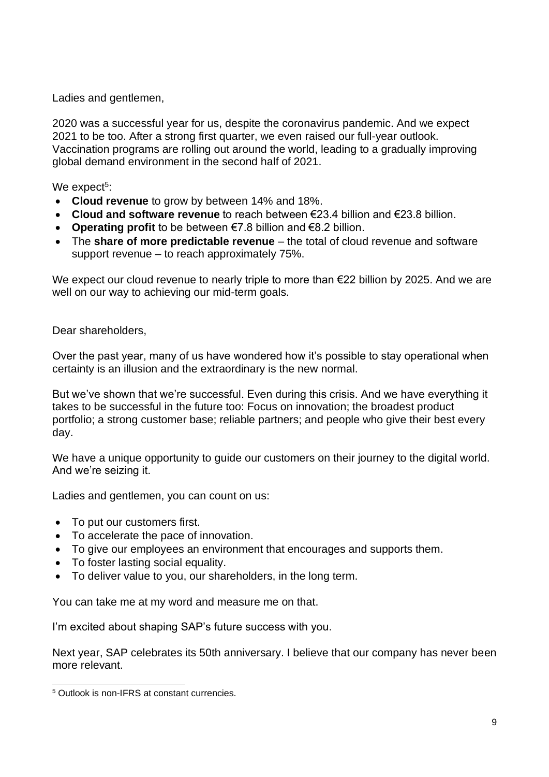Ladies and gentlemen.

2020 was a successful year for us, despite the coronavirus pandemic. And we expect 2021 to be too. After a strong first quarter, we even raised our full-year outlook. Vaccination programs are rolling out around the world, leading to a gradually improving global demand environment in the second half of 2021.

We expect<sup>5</sup>:

- **Cloud revenue** to grow by between 14% and 18%.
- **Cloud and software revenue** to reach between €23.4 billion and €23.8 billion.
- **Operating profit** to be between €7.8 billion and €8.2 billion.
- The **share of more predictable revenue** the total of cloud revenue and software support revenue – to reach approximately 75%.

We expect our cloud revenue to nearly triple to more than €22 billion by 2025. And we are well on our way to achieving our mid-term goals.

Dear shareholders,

Over the past year, many of us have wondered how it's possible to stay operational when certainty is an illusion and the extraordinary is the new normal.

But we've shown that we're successful. Even during this crisis. And we have everything it takes to be successful in the future too: Focus on innovation; the broadest product portfolio; a strong customer base; reliable partners; and people who give their best every day.

We have a unique opportunity to guide our customers on their journey to the digital world. And we're seizing it.

Ladies and gentlemen, you can count on us:

- To put our customers first.
- To accelerate the pace of innovation.
- To give our employees an environment that encourages and supports them.
- To foster lasting social equality.
- To deliver value to you, our shareholders, in the long term.

You can take me at my word and measure me on that.

I'm excited about shaping SAP's future success with you.

Next year, SAP celebrates its 50th anniversary. I believe that our company has never been more relevant.

<sup>5</sup> Outlook is non-IFRS at constant currencies.